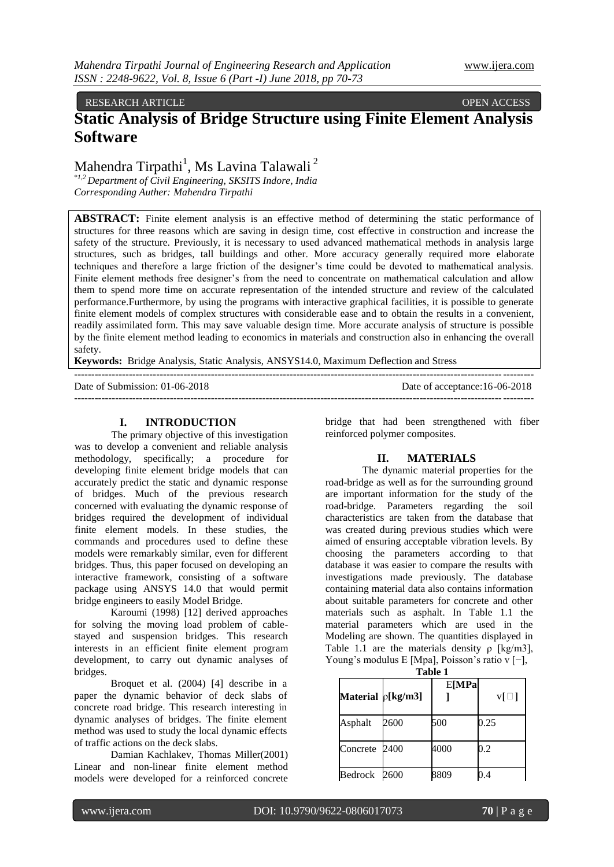### RESEARCH ARTICLE OPEN ACCESS

# **Static Analysis of Bridge Structure using Finite Element Analysis Software**

## Mahendra Tirpathi<sup>1</sup>, Ms Lavina Talawali<sup>2</sup>

\**1,2 Department of Civil Engineering, SKSITS Indore, India Corresponding Auther: Mahendra Tirpathi*

**ABSTRACT:** Finite element analysis is an effective method of determining the static performance of structures for three reasons which are saving in design time, cost effective in construction and increase the safety of the structure. Previously, it is necessary to used advanced mathematical methods in analysis large structures, such as bridges, tall buildings and other. More accuracy generally required more elaborate techniques and therefore a large friction of the designer's time could be devoted to mathematical analysis. Finite element methods free designer's from the need to concentrate on mathematical calculation and allow them to spend more time on accurate representation of the intended structure and review of the calculated performance.Furthermore, by using the programs with interactive graphical facilities, it is possible to generate finite element models of complex structures with considerable ease and to obtain the results in a convenient, readily assimilated form. This may save valuable design time. More accurate analysis of structure is possible by the finite element method leading to economics in materials and construction also in enhancing the overall safety.

--------------------------------------------------------------------------------------------------------------------------------------

**Keywords:** Bridge Analysis, Static Analysis, ANSYS14.0, Maximum Deflection and Stress

Date of Submission: 01-06-2018 Date of acceptance:16-06-2018

--------------------------------------------------------------------------------------------------------------------------------------

#### **I. INTRODUCTION**

The primary objective of this investigation was to develop a convenient and reliable analysis methodology, specifically; a procedure for developing finite element bridge models that can accurately predict the static and dynamic response of bridges. Much of the previous research concerned with evaluating the dynamic response of bridges required the development of individual finite element models. In these studies, the commands and procedures used to define these models were remarkably similar, even for different bridges. Thus, this paper focused on developing an interactive framework, consisting of a software package using ANSYS 14.0 that would permit bridge engineers to easily Model Bridge.

Karoumi (1998) [12] derived approaches for solving the moving load problem of cablestayed and suspension bridges. This research interests in an efficient finite element program development, to carry out dynamic analyses of bridges.

Broquet et al. (2004) [4] describe in a paper the dynamic behavior of deck slabs of concrete road bridge. This research interesting in dynamic analyses of bridges. The finite element method was used to study the local dynamic effects of traffic actions on the deck slabs.

Damian Kachlakev, Thomas Miller(2001) Linear and non-linear finite element method models were developed for a reinforced concrete

bridge that had been strengthened with fiber reinforced polymer composites.

#### **II. MATERIALS**

The dynamic material properties for the road-bridge as well as for the surrounding ground are important information for the study of the road-bridge. Parameters regarding the soil characteristics are taken from the database that was created during previous studies which were aimed of ensuring acceptable vibration levels. By choosing the parameters according to that database it was easier to compare the results with investigations made previously. The database containing material data also contains information about suitable parameters for concrete and other materials such as asphalt. In Table 1.1 the material parameters which are used in the Modeling are shown. The quantities displayed in Table 1.1 are the materials density  $\rho$  [kg/m3], Young's modulus E [Mpa], Poisson's ratio v [−],

| --<br><b>Table 1</b> |      |       |           |
|----------------------|------|-------|-----------|
| Material p[kg/m3]    |      | E[MPa | $v[\Box]$ |
| Asphalt              | 2600 | 500   | 0.25      |
| Concrete 2400        |      | 4000  | 0.2       |
| Bedrock 2600         |      | 8809  |           |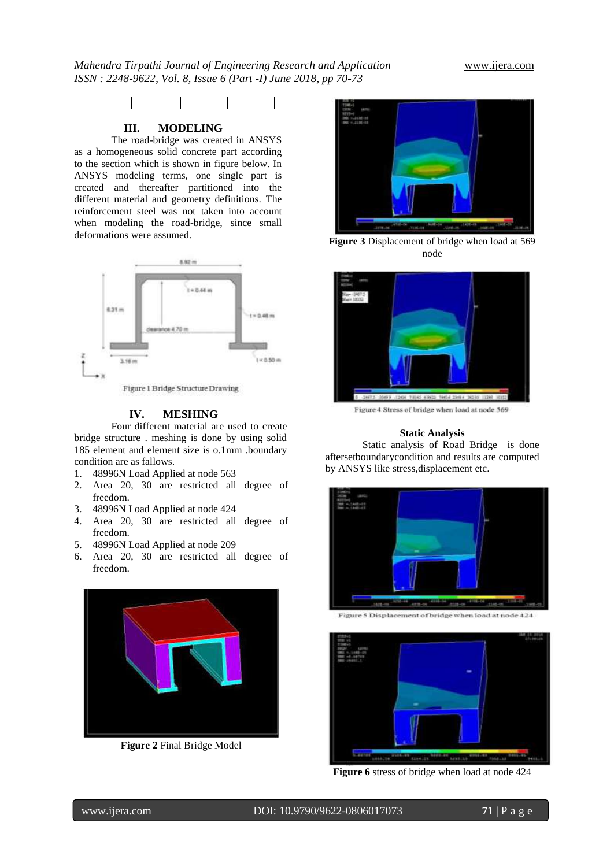

## **III. MODELING**

The road-bridge was created in ANSYS as a homogeneous solid concrete part according to the section which is shown in figure below. In ANSYS modeling terms, one single part is created and thereafter partitioned into the different material and geometry definitions. The reinforcement steel was not taken into account when modeling the road-bridge, since small deformations were assumed.



#### **IV. MESHING**

Four different material are used to create bridge structure . meshing is done by using solid 185 element and element size is o.1mm .boundary condition are as fallows.

- 1. 48996N Load Applied at node 563
- 2. Area 20, 30 are restricted all degree of freedom.
- 3. 48996N Load Applied at node 424
- 4. Area 20, 30 are restricted all degree of freedom.
- 5. 48996N Load Applied at node 209
- 6. Area 20, 30 are restricted all degree of freedom.



**Figure 2** Final Bridge Model



**Figure 3** Displacement of bridge when load at 569 node



Figure 4 Stress of bridge when load at node 569

### **Static Analysis**

Static analysis of Road Bridge is done aftersetboundarycondition and results are computed by ANSYS like stress,displacement etc.



Figure 5 Displacement of bridge when load at node 424



**Figure 6** stress of bridge when load at node 424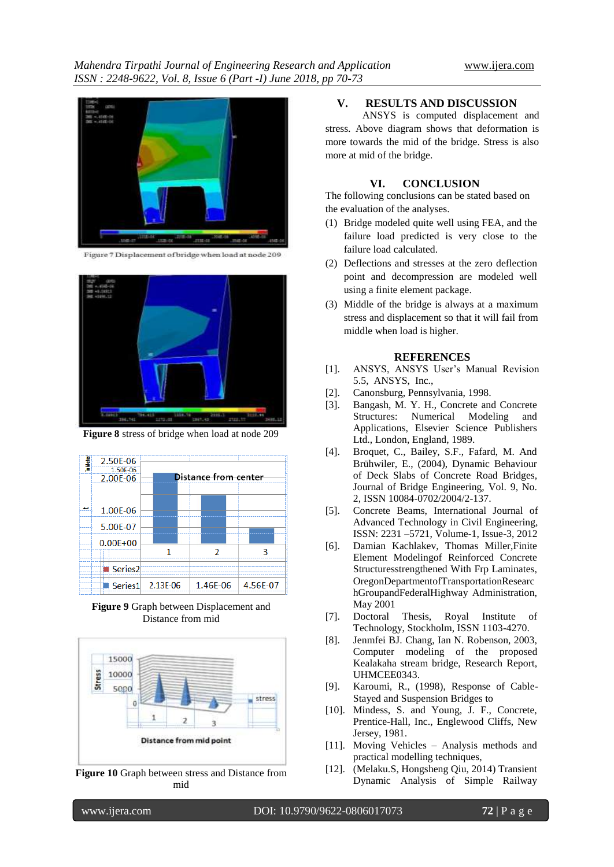

Figure 7 Displacement of bridge when load at node 209



**Figure 8** stress of bridge when load at node 209



**Figure 9** Graph between Displacement and Distance from mid



**Figure 10** Graph between stress and Distance from mid

### **V. RESULTS AND DISCUSSION**

ANSYS is computed displacement and stress. Above diagram shows that deformation is more towards the mid of the bridge. Stress is also more at mid of the bridge.

#### **VI. CONCLUSION**

The following conclusions can be stated based on the evaluation of the analyses.

- (1) Bridge modeled quite well using FEA, and the failure load predicted is very close to the failure load calculated.
- (2) Deflections and stresses at the zero deflection point and decompression are modeled well using a finite element package.
- (3) Middle of the bridge is always at a maximum stress and displacement so that it will fail from middle when load is higher.

#### **REFERENCES**

- [1]. ANSYS, ANSYS User's Manual Revision 5.5, ANSYS, Inc.,
- [2]. Canonsburg, Pennsylvania, 1998.
- [3]. Bangash, M. Y. H., Concrete and Concrete Structures: Numerical Modeling and Applications, Elsevier Science Publishers Ltd., London, England, 1989.
- [4]. Broquet, C., Bailey, S.F., Fafard, M. And Brühwiler, E., (2004), Dynamic Behaviour of Deck Slabs of Concrete Road Bridges, Journal of Bridge Engineering, Vol. 9, No. 2, ISSN 10084-0702/2004/2-137.
- [5]. Concrete Beams, International Journal of Advanced Technology in Civil Engineering, ISSN: 2231 –5721, Volume-1, Issue-3, 2012
- [6]. Damian Kachlakev, Thomas Miller,Finite Element Modelingof Reinforced Concrete Structuresstrengthened With Frp Laminates, OregonDepartmentofTransportationResearc hGroupandFederalHighway Administration, May 2001
- [7]. Doctoral Thesis, Royal Institute of Technology, Stockholm, ISSN 1103-4270.
- [8]. Jenmfei BJ. Chang, Ian N. Robenson, 2003, Computer modeling of the proposed Kealakaha stream bridge, Research Report, UHMCEE0343.
- [9]. Karoumi, R., (1998), Response of Cable-Stayed and Suspension Bridges to
- [10]. Mindess, S. and Young, J. F., Concrete, Prentice-Hall, Inc., Englewood Cliffs, New Jersey, 1981.
- [11]. Moving Vehicles Analysis methods and practical modelling techniques,
- [12]. (Melaku.S, Hongsheng Qiu, 2014) Transient Dynamic Analysis of Simple Railway